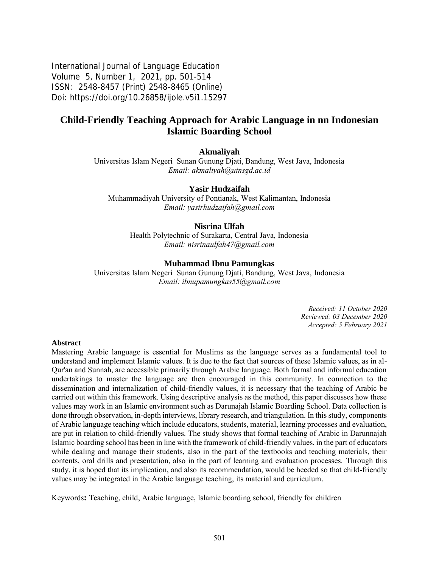International Journal of Language Education Volume 5, Number 1, 2021, pp. 501-514 ISSN: 2548-8457 (Print) 2548-8465 (Online) Doi: <https://doi.org/10.26858/ijole.v5i1.15297>

# **Child-Friendly Teaching Approach for Arabic Language in nn Indonesian Islamic Boarding School**

### **Akmaliyah**

Universitas Islam Negeri Sunan Gunung Djati, Bandung, West Java, Indonesia *Email: [akmaliyah@uinsgd.ac.id](mailto:akmaliyah@uinsgd.ac.id)*

#### **Yasir Hudzaifah**

Muhammadiyah University of Pontianak, West Kalimantan, Indonesia *Email: yasirhudzaifah@gmail.com*

### **Nisrina Ulfah**

Health Polytechnic of Surakarta, Central Java, Indonesia *Email: [nisrinaulfah47@gmail.com](mailto:nisrinaulfah47@gmail.com)*

#### **Muhammad Ibnu Pamungkas**

Universitas Islam Negeri Sunan Gunung Djati, Bandung, West Java, Indonesia *Email: [ibnupamungkas55@gmail.com](mailto:ibnupamungkas55@gmail.com)*

> *Received: 11 October 2020 Reviewed: 03 December 2020 Accepted: 5 February 2021*

#### **Abstract**

Mastering Arabic language is essential for Muslims as the language serves as a fundamental tool to understand and implement Islamic values. It is due to the fact that sources of these Islamic values, as in al-Qur'an and Sunnah, are accessible primarily through Arabic language. Both formal and informal education undertakings to master the language are then encouraged in this community. In connection to the dissemination and internalization of child-friendly values, it is necessary that the teaching of Arabic be carried out within this framework. Using descriptive analysis as the method, this paper discusses how these values may work in an Islamic environment such as Darunajah Islamic Boarding School. Data collection is done through observation, in-depth interviews, library research, and triangulation. In this study, components of Arabic language teaching which include educators, students, material, learning processes and evaluation, are put in relation to child-friendly values. The study shows that formal teaching of Arabic in Darunnajah Islamic boarding school has been in line with the framework of child-friendly values, in the part of educators while dealing and manage their students, also in the part of the textbooks and teaching materials, their contents, oral drills and presentation, also in the part of learning and evaluation processes. Through this study, it is hoped that its implication, and also its recommendation, would be heeded so that child-friendly values may be integrated in the Arabic language teaching, its material and curriculum.

Keywords**:** Teaching, child, Arabic language, Islamic boarding school, friendly for children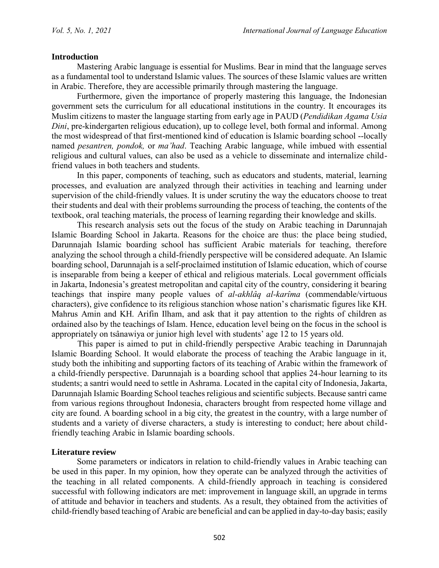### **Introduction**

Mastering Arabic language is essential for Muslims. Bear in mind that the language serves as a fundamental tool to understand Islamic values. The sources of these Islamic values are written in Arabic. Therefore, they are accessible primarily through mastering the language.

Furthermore, given the importance of properly mastering this language, the Indonesian government sets the curriculum for all educational institutions in the country. It encourages its Muslim citizens to master the language starting from early age in PAUD (*Pendidikan Agama Usia Dini*, pre-kindergarten religious education), up to college level, both formal and informal. Among the most widespread of that first-mentioned kind of education is Islamic boarding school --locally named *pesantren, pondok,* or *ma'had*. Teaching Arabic language, while imbued with essential religious and cultural values, can also be used as a vehicle to disseminate and internalize childfriend values in both teachers and students.

In this paper, components of teaching, such as educators and students, material, learning processes, and evaluation are analyzed through their activities in teaching and learning under supervision of the child-friendly values. It is under scrutiny the way the educators choose to treat their students and deal with their problems surrounding the process of teaching, the contents of the textbook, oral teaching materials, the process of learning regarding their knowledge and skills.

This research analysis sets out the focus of the study on Arabic teaching in Darunnajah Islamic Boarding School in Jakarta. Reasons for the choice are thus: the place being studied, Darunnajah Islamic boarding school has sufficient Arabic materials for teaching, therefore analyzing the school through a child-friendly perspective will be considered adequate. An Islamic boarding school, Darunnajah is a self-proclaimed institution of Islamic education, which of course is inseparable from being a keeper of ethical and religious materials. Local government officials in Jakarta, Indonesia's greatest metropolitan and capital city of the country, considering it bearing teachings that inspire many people values of *al-akhlâq al-karîma* (commendable/virtuous characters), give confidence to its religious stanchion whose nation's charismatic figures like KH. Mahrus Amin and KH. Arifin Ilham, and ask that it pay attention to the rights of children as ordained also by the teachings of Islam. Hence, education level being on the focus in the school is appropriately on tsânawiya or junior high level with students' age 12 to 15 years old.

This paper is aimed to put in child-friendly perspective Arabic teaching in Darunnajah Islamic Boarding School. It would elaborate the process of teaching the Arabic language in it, study both the inhibiting and supporting factors of its teaching of Arabic within the framework of a child-friendly perspective. Darunnajah is a boarding school that applies 24-hour learning to its students; a santri would need to settle in Ashrama. Located in the capital city of Indonesia, Jakarta, Darunnajah Islamic Boarding School teaches religious and scientific subjects. Because santri came from various regions throughout Indonesia, characters brought from respected home village and city are found. A boarding school in a big city, the greatest in the country, with a large number of students and a variety of diverse characters, a study is interesting to conduct; here about childfriendly teaching Arabic in Islamic boarding schools.

### **Literature review**

Some parameters or indicators in relation to child-friendly values in Arabic teaching can be used in this paper. In my opinion, how they operate can be analyzed through the activities of the teaching in all related components. A child-friendly approach in teaching is considered successful with following indicators are met: improvement in language skill, an upgrade in terms of attitude and behavior in teachers and students. As a result, they obtained from the activities of child-friendly based teaching of Arabic are beneficial and can be applied in day-to-day basis; easily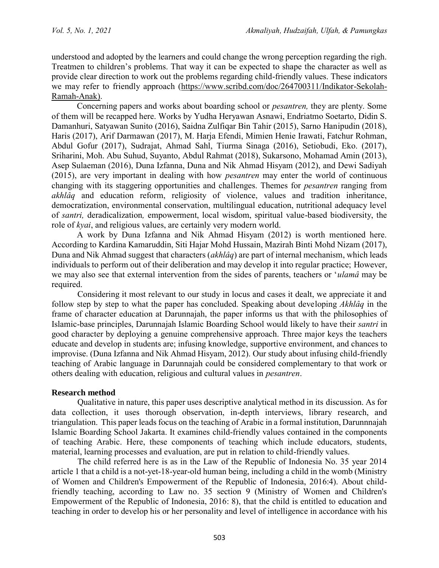understood and adopted by the learners and could change the wrong perception regarding the righ. Treatmen to children's problems. That way it can be expected to shape the character as well as provide clear direction to work out the problems regarding child-friendly values. These indicators we may refer to friendly approach [\(https://www.scribd.com/doc/264700311/Indikator-Sekolah-](https://www.scribd.com/doc/264700311/Indikator-Sekolah-Ramah-Anak)[Ramah-Anak\)](https://www.scribd.com/doc/264700311/Indikator-Sekolah-Ramah-Anak).

Concerning papers and works about boarding school or *pesantren,* they are plenty. Some of them will be recapped here. Works by Yudha Heryawan Asnawi, Endriatmo Soetarto, Didin S. Damanhuri, Satyawan Sunito (2016), Saidna Zulfiqar Bin Tahir (2015), Sarno Hanipudin (2018), Haris (2017), Arif Darmawan (2017), M. Harja Efendi, Mimien Henie Irawati, Fatchur Rohman, Abdul Gofur (2017), Sudrajat, Ahmad Sahl, Tiurma Sinaga (2016), Setiobudi, Eko. (2017), Sriharini, Moh. Abu Suhud, Suyanto, Abdul Rahmat (2018), Sukarsono, Mohamad Amin (2013), Asep Sulaeman (2016), Duna Izfanna, Duna and Nik Ahmad Hisyam (2012), and Dewi Sadiyah (2015), are very important in dealing with how *pesantren* may enter the world of continuous changing with its staggering opportunities and challenges. Themes for *pesantren* ranging from *akhlâq* and education reform, religiosity of violence, values and tradition inheritance, democratization, environmental conservation, multilingual education, nutritional adequacy level of *santri,* deradicalization*,* empowerment, local wisdom, spiritual value-based biodiversity, the role of *kyai*, and religious values, are certainly very modern world.

A work by Duna Izfanna and Nik Ahmad Hisyam (2012) is worth mentioned here. According to Kardina Kamaruddin, Siti Hajar Mohd Hussain, Mazirah Binti Mohd Nizam (2017), Duna and Nik Ahmad suggest that characters (*akhlâq*) are part of internal mechanism, which leads individuals to perform out of their deliberation and may develop it into regular practice; However, we may also see that external intervention from the sides of parents, teachers or '*ulamâ* may be required.

Considering it most relevant to our study in locus and cases it dealt, we appreciate it and follow step by step to what the paper has concluded. Speaking about developing *Akhlâq* in the frame of character education at Darunnajah, the paper informs us that with the philosophies of Islamic-base principles, Darunnajah Islamic Boarding School would likely to have their *santri* in good character by deploying a genuine comprehensive approach. Three major keys the teachers educate and develop in students are; infusing knowledge, supportive environment, and chances to improvise. (Duna Izfanna and Nik Ahmad Hisyam, 2012). Our study about infusing child-friendly teaching of Arabic language in Darunnajah could be considered complementary to that work or others dealing with education, religious and cultural values in *pesantren*.

## **Research method**

Qualitative in nature, this paper uses descriptive analytical method in its discussion. As for data collection, it uses thorough observation, in-depth interviews, library research, and triangulation. This paper leads focus on the teaching of Arabic in a formal institution, Darunnnajah Islamic Boarding School Jakarta. It examines child-friendly values contained in the components of teaching Arabic. Here, these components of teaching which include educators, students, material, learning processes and evaluation, are put in relation to child-friendly values.

The child referred here is as in the Law of the Republic of Indonesia No. 35 year 2014 article 1 that a child is a not-yet-18-year-old human being, including a child in the womb (Ministry of Women and Children's Empowerment of the Republic of Indonesia, 2016:4). About childfriendly teaching, according to Law no. 35 section 9 (Ministry of Women and Children's Empowerment of the Republic of Indonesia, 2016: 8), that the child is entitled to education and teaching in order to develop his or her personality and level of intelligence in accordance with his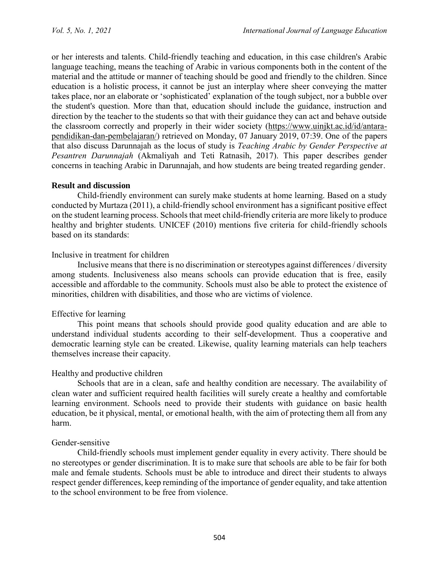or her interests and talents. Child-friendly teaching and education, in this case children's Arabic language teaching, means the teaching of Arabic in various components both in the content of the material and the attitude or manner of teaching should be good and friendly to the children. Since education is a holistic process, it cannot be just an interplay where sheer conveying the matter takes place, nor an elaborate or 'sophisticated' explanation of the tough subject, nor a bubble over the student's question. More than that, education should include the guidance, instruction and direction by the teacher to the students so that with their guidance they can act and behave outside the classroom correctly and properly in their wider society [\(https://www.uinjkt.ac.id/id/antara](https://www.uinjkt.ac.id/id/antara-pendidikan-dan-pembelajaran/diunduh)[pendidikan-dan-pembelajaran/\)](https://www.uinjkt.ac.id/id/antara-pendidikan-dan-pembelajaran/diunduh) retrieved on Monday, 07 January 2019, 07:39. One of the papers that also discuss Darunnajah as the locus of study is *Teaching Arabic by Gender Perspective at Pesantren Darunnajah* (Akmaliyah and Teti Ratnasih, 2017). This paper describes gender concerns in teaching Arabic in Darunnajah, and how students are being treated regarding gender.

### **Result and discussion**

Child-friendly environment can surely make students at home learning. Based on a study conducted by Murtaza (2011), a child-friendly school environment has a significant positive effect on the student learning process. Schools that meet child-friendly criteria are more likely to produce healthy and brighter students. UNICEF (2010) mentions five criteria for child-friendly schools based on its standards:

## Inclusive in treatment for children

Inclusive means that there is no discrimination or stereotypes against differences / diversity among students. Inclusiveness also means schools can provide education that is free, easily accessible and affordable to the community. Schools must also be able to protect the existence of minorities, children with disabilities, and those who are victims of violence.

## Effective for learning

This point means that schools should provide good quality education and are able to understand individual students according to their self-development. Thus a cooperative and democratic learning style can be created. Likewise, quality learning materials can help teachers themselves increase their capacity.

## Healthy and productive children

Schools that are in a clean, safe and healthy condition are necessary. The availability of clean water and sufficient required health facilities will surely create a healthy and comfortable learning environment. Schools need to provide their students with guidance on basic health education, be it physical, mental, or emotional health, with the aim of protecting them all from any harm.

### Gender-sensitive

Child-friendly schools must implement gender equality in every activity. There should be no stereotypes or gender discrimination. It is to make sure that schools are able to be fair for both male and female students. Schools must be able to introduce and direct their students to always respect gender differences, keep reminding of the importance of gender equality, and take attention to the school environment to be free from violence.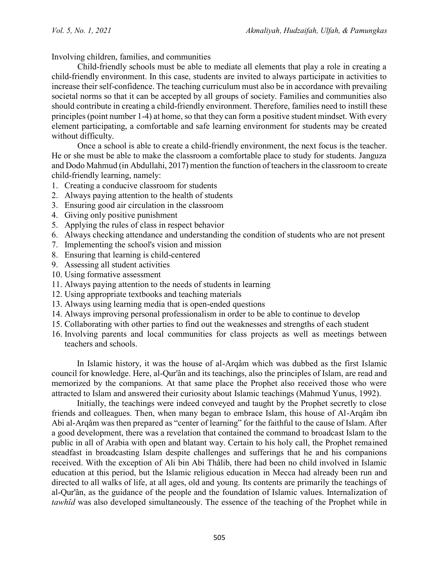Involving children, families, and communities

Child-friendly schools must be able to mediate all elements that play a role in creating a child-friendly environment. In this case, students are invited to always participate in activities to increase their self-confidence. The teaching curriculum must also be in accordance with prevailing societal norms so that it can be accepted by all groups of society. Families and communities also should contribute in creating a child-friendly environment. Therefore, families need to instill these principles (point number 1-4) at home, so that they can form a positive student mindset. With every element participating, a comfortable and safe learning environment for students may be created without difficulty.

Once a school is able to create a child-friendly environment, the next focus is the teacher. He or she must be able to make the classroom a comfortable place to study for students. Janguza and Dodo Mahmud (in Abdullahi, 2017) mention the function of teachers in the classroom to create child-friendly learning, namely:

- 1. Creating a conducive classroom for students
- 2. Always paying attention to the health of students
- 3. Ensuring good air circulation in the classroom
- 4. Giving only positive punishment
- 5. Applying the rules of class in respect behavior
- 6. Always checking attendance and understanding the condition of students who are not present
- 7. Implementing the school's vision and mission
- 8. Ensuring that learning is child-centered
- 9. Assessing all student activities
- 10. Using formative assessment
- 11. Always paying attention to the needs of students in learning
- 12. Using appropriate textbooks and teaching materials
- 13. Always using learning media that is open-ended questions
- 14. Always improving personal professionalism in order to be able to continue to develop
- 15. Collaborating with other parties to find out the weaknesses and strengths of each student
- 16. Involving parents and local communities for class projects as well as meetings between teachers and schools.

In Islamic history, it was the house of al-Arqâm which was dubbed as the first Islamic council for knowledge. Here, al-Qur'ân and its teachings, also the principles of Islam, are read and memorized by the companions. At that same place the Prophet also received those who were attracted to Islam and answered their curiosity about Islamic teachings (Mahmud Yunus, 1992).

Initially, the teachings were indeed conveyed and taught by the Prophet secretly to close friends and colleagues. Then, when many began to embrace Islam, this house of Al-Arqâm ibn Abi al-Arqâm was then prepared as "center of learning" for the faithful to the cause of Islam. After a good development, there was a revelation that contained the command to broadcast Islam to the public in all of Arabia with open and blatant way. Certain to his holy call, the Prophet remained steadfast in broadcasting Islam despite challenges and sufferings that he and his companions received. With the exception of Ali bin Abi Thâlib, there had been no child involved in Islamic education at this period, but the Islamic religious education in Mecca had already been run and directed to all walks of life, at all ages, old and young. Its contents are primarily the teachings of al-Qur'ân, as the guidance of the people and the foundation of Islamic values. Internalization of *tawhîd* was also developed simultaneously. The essence of the teaching of the Prophet while in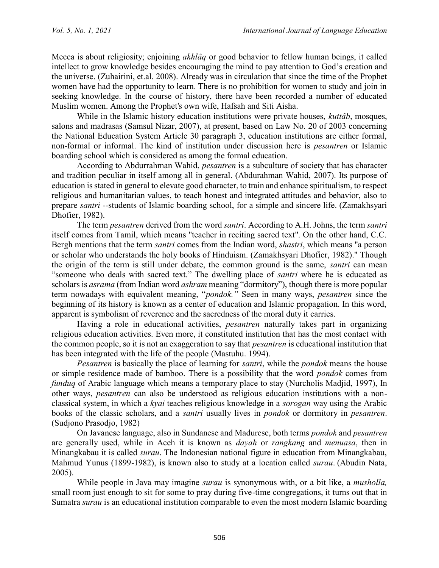Mecca is about religiosity; enjoining *akhlâq* or good behavior to fellow human beings, it called intellect to grow knowledge besides encouraging the mind to pay attention to God's creation and the universe. (Zuhairini, et.al. 2008). Already was in circulation that since the time of the Prophet women have had the opportunity to learn. There is no prohibition for women to study and join in seeking knowledge. In the course of history, there have been recorded a number of educated Muslim women. Among the Prophet's own wife, Hafsah and Siti Aisha.

While in the Islamic history education institutions were private houses, *kuttâb*, mosques, salons and madrasas (Samsul Nizar, 2007), at present, based on Law No. 20 of 2003 concerning the National Education System Article 30 paragraph 3, education institutions are either formal, non-formal or informal. The kind of institution under discussion here is *pesantren* or Islamic boarding school which is considered as among the formal education.

According to Abdurrahman Wahid, *pesantren* is a subculture of society that has character and tradition peculiar in itself among all in general. (Abdurahman Wahid, 2007). Its purpose of education is stated in general to elevate good character, to train and enhance spiritualism, to respect religious and humanitarian values, to teach honest and integrated attitudes and behavior, also to prepare *santri --*students of Islamic boarding school, for a simple and sincere life. (Zamakhsyari Dhofier, 1982).

The term *pesantren* derived from the word *santri*. According to A.H. Johns, the term *santri* itself comes from Tamil, which means "teacher in reciting sacred text". On the other hand, C.C. Bergh mentions that the term *santri* comes from the Indian word, *shastri*, which means "a person or scholar who understands the holy books of Hinduism. (Zamakhsyari Dhofier, 1982)." Though the origin of the term is still under debate, the common ground is the same, *santri* can mean "someone who deals with sacred text." The dwelling place of *santri* where he is educated as scholars is *asrama* (from Indian word *ashram* meaning "dormitory"), though there is more popular term nowadays with equivalent meaning, "*pondok."* Seen in many ways, *pesantren* since the beginning of its history is known as a center of education and Islamic propagation. In this word, apparent is symbolism of reverence and the sacredness of the moral duty it carries.

Having a role in educational activities, *pesantren* naturally takes part in organizing religious education activities. Even more, it constituted institution that has the most contact with the common people, so it is not an exaggeration to say that *pesantren* is educational institution that has been integrated with the life of the people (Mastuhu. 1994).

*Pesantren* is basically the place of learning for *santri*, while the *pondok* means the house or simple residence made of bamboo. There is a possibility that the word *pondok* comes from *funduq* of Arabic language which means a temporary place to stay (Nurcholis Madjid, 1997), In other ways, *pesantren* can also be understood as religious education institutions with a nonclassical system, in which a *kyai* teaches religious knowledge in a *sorogan* way using the Arabic books of the classic scholars, and a *santri* usually lives in *pondok* or dormitory in *pesantren*. (Sudjono Prasodjo, 1982)

On Javanese language, also in Sundanese and Madurese, both terms *pondok* and *pesantren* are generally used, while in Aceh it is known as *dayah* or *rangkang* and *menuasa*, then in Minangkabau it is called *surau*. The Indonesian national figure in education from Minangkabau, Mahmud Yunus (1899-1982), is known also to study at a location called *surau*. (Abudin Nata, 2005).

While people in Java may imagine *surau* is synonymous with, or a bit like, a *musholla,*  small room just enough to sit for some to pray during five-time congregations, it turns out that in Sumatra *surau* is an educational institution comparable to even the most modern Islamic boarding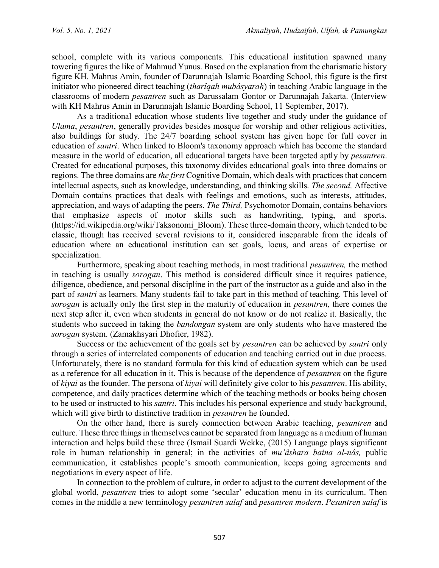school, complete with its various components. This educational institution spawned many towering figures the like of Mahmud Yunus. Based on the explanation from the charismatic history figure KH. Mahrus Amin, founder of Darunnajah Islamic Boarding School, this figure is the first initiator who pioneered direct teaching (*tharîqah mubâsyarah*) in teaching Arabic language in the classrooms of modern *pesantren* such as Darussalam Gontor or Darunnajah Jakarta. (Interview with KH Mahrus Amin in Darunnajah Islamic Boarding School, 11 September, 2017).

As a traditional education whose students live together and study under the guidance of *Ulama*, *pesantren*, generally provides besides mosque for worship and other religious activities, also buildings for study. The 24/7 boarding school system has given hope for full cover in education of *santri*. When linked to Bloom's taxonomy approach which has become the standard measure in the world of education, all educational targets have been targeted aptly by *pesantren*. Created for educational purposes, this taxonomy divides educational goals into three domains or regions. The three domains are *the first* Cognitive Domain, which deals with practices that concern intellectual aspects, such as knowledge, understanding, and thinking skills. *The second,* Affective Domain contains practices that deals with feelings and emotions, such as interests, attitudes, appreciation, and ways of adapting the peers. *The Third,* Psychomotor Domain, contains behaviors that emphasize aspects of motor skills such as handwriting, typing, and sports. [\(https://id.wikipedia.org/wiki/Taksonomi\\_Bloom\)](https://id.wikipedia.org/wiki/Taksonomi_Bloom). These three-domain theory, which tended to be classic, though has received several revisions to it, considered inseparable from the ideals of education where an educational institution can set goals, locus, and areas of expertise or specialization.

Furthermore, speaking about teaching methods, in most traditional *pesantren,* the method in teaching is usually *sorogan*. This method is considered difficult since it requires patience, diligence, obedience, and personal discipline in the part of the instructor as a guide and also in the part of *santri* as learners. Many students fail to take part in this method of teaching. This level of *sorogan* is actually only the first step in the maturity of education in *pesantren,* there comes the next step after it, even when students in general do not know or do not realize it. Basically, the students who succeed in taking the *bandongan* system are only students who have mastered the *sorogan* system. (Zamakhsyari Dhofier, 1982).

Success or the achievement of the goals set by *pesantren* can be achieved by *santri* only through a series of interrelated components of education and teaching carried out in due process. Unfortunately, there is no standard formula for this kind of education system which can be used as a reference for all education in it. This is because of the dependence of *pesantren* on the figure of *kiyai* as the founder. The persona of *kiyai* will definitely give color to his *pesantren*. His ability, competence, and daily practices determine which of the teaching methods or books being chosen to be used or instructed to his *santri*. This includes his personal experience and study background, which will give birth to distinctive tradition in *pesantren* he founded.

On the other hand, there is surely connection between Arabic teaching, *pesantren* and culture. These three things in themselves cannot be separated from language as a medium of human interaction and helps build these three (Ismail Suardi Wekke, (2015) Language plays significant role in human relationship in general; in the activities of *mu'âshara baina al-nâs,* public communication, it establishes people's smooth communication, keeps going agreements and negotiations in every aspect of life.

In connection to the problem of culture, in order to adjust to the current development of the global world, *pesantren* tries to adopt some 'secular' education menu in its curriculum. Then comes in the middle a new terminology *pesantren salaf* and *pesantren modern*. *Pesantren salaf* is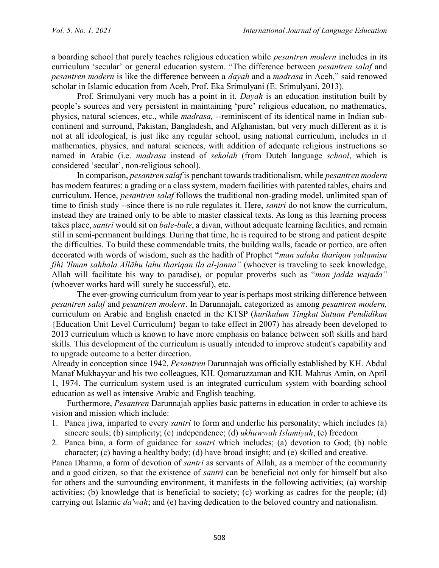a boarding school that purely teaches religious education while *pesantren modern* includes in its curriculum 'secular' or general education system. "The difference between *pesantren salaf* and *pesantren modern* is like the difference between a *dayah* and a *madrasa* in Aceh," said renowed scholar in Islamic education from Aceh, Prof. Eka Srimulyani (E. Srimulyani, 2013).

Prof. Srimulyani very much has a point in it. *Dayah* is an education institution built by people's sources and very persistent in maintaining 'pure' religious education, no mathematics, physics, natural sciences, etc., while *madrasa, --*reminiscent of its identical name in Indian subcontinent and surround, Pakistan, Bangladesh, and Afghanistan, but very much different as it is not at all ideological, is just like any regular school, using national curriculum, includes in it mathematics, physics, and natural sciences, with addition of adequate religious instructions so named in Arabic (i.e. *madrasa* instead of *sekolah* (from Dutch language *school*, which is considered 'secular', non-religious school).

In comparison, *pesantren salaf* is penchant towards traditionalism, while *pesantren modern* has modern features: a grading or a class system, modern facilities with patented tables, chairs and curriculum. Hence, *pesantren salaf* follows the traditional non-grading model, unlimited span of time to finish study --since there is no rule regulates it. Here, *santri* do not know the curriculum, instead they are trained only to be able to master classical texts. As long as this learning process takes place, *santri* would sit on *bale-bale*, a divan, without adequate learning facilities, and remain still in semi-permanent buildings. During that time, he is required to be strong and patient despite the difficulties. To build these commendable traits, the building walls, facade or portico, are often decorated with words of wisdom, such as the hadîth of Prophet "*man salaka thariqan yaltamisu fihi 'Ilman sahhala Allāhu lahu thariqan ila al-janna"* (whoever is traveling to seek knowledge, Allah will facilitate his way to paradise), or popular proverbs such as "*man jadda wajada"* (whoever works hard will surely be successful), etc.

The ever-growing curriculum from year to year is perhaps most striking difference between *pesantren salaf* and *pesantren modern*. In Darunnajah, categorized as among *pesantren modern,* curriculum on Arabic and English enacted in the KTSP (*kurikulum Tingkat Satuan Pendidikan*  {Education Unit Level Curriculum} began to take effect in 2007) has already been developed to 2013 curriculum which is known to have more emphasis on balance between soft skills and hard skills. This development of the curriculum is usually intended to improve student's capability and to upgrade outcome to a better direction.

Already in conception since 1942, *Pesantren* Darunnajah was officially established by KH. Abdul Manaf Mukhayyar and his two colleagues, KH. Qomaruzzaman and KH. Mahrus Amin, on April 1, 1974. The curriculum system used is an integrated curriculum system with boarding school education as well as intensive Arabic and English teaching.

Furthermore, *Pesantren* Darunnajah applies basic patterns in education in order to achieve its vision and mission which include:

- 1. Panca jiwa, imparted to every *santri* to form and underlie his personality; which includes (a) sincere souls; (b) simplicity; (c) independence; (d) *ukhuwwah Islamiyah*, (e) freedom
- 2. Panca bina, a form of guidance for *santri* which includes; (a) devotion to God; (b) noble character; (c) having a healthy body; (d) have broad insight; and (e) skilled and creative.

Panca Dharma, a form of devotion of *santri* as servants of Allah, as a member of the community and a good citizen, so that the existence of *santri* can be beneficial not only for himself but also for others and the surrounding environment, it manifests in the following activities; (a) worship activities; (b) knowledge that is beneficial to society; (c) working as cadres for the people; (d) carrying out Islamic *da'wah*; and (e) having dedication to the beloved country and nationalism.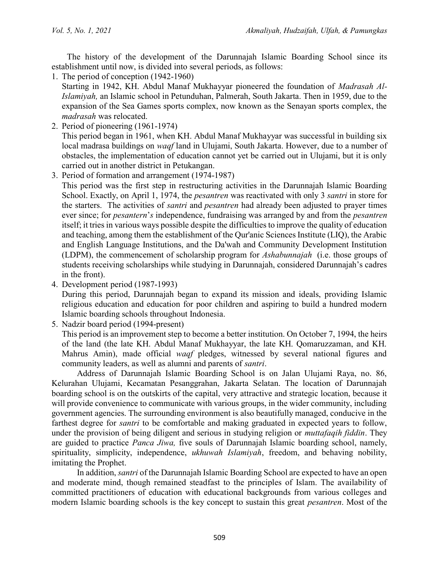The history of the development of the Darunnajah Islamic Boarding School since its establishment until now, is divided into several periods, as follows:

1. The period of conception (1942-1960)

Starting in 1942, KH. Abdul Manaf Mukhayyar pioneered the foundation of *Madrasah Al-Islamiyah,* an Islamic school in Petunduhan, Palmerah, South Jakarta. Then in 1959, due to the expansion of the Sea Games sports complex, now known as the Senayan sports complex, the *madrasah* was relocated.

- 2. Period of pioneering (1961-1974) This period began in 1961, when KH. Abdul Manaf Mukhayyar was successful in building six local madrasa buildings on *waqf* land in Ulujami, South Jakarta. However, due to a number of obstacles, the implementation of education cannot yet be carried out in Ulujami, but it is only carried out in another district in Petukangan.
- 3. Period of formation and arrangement (1974-1987)

This period was the first step in restructuring activities in the Darunnajah Islamic Boarding School. Exactly, on April 1, 1974, the *pesantren* was reactivated with only 3 *santri* in store for the starters. The activities of *santri* and *pesantren* had already been adjusted to prayer times ever since; for *pesantern*'*s* independence, fundraising was arranged by and from the *pesantren* itself; it tries in various ways possible despite the difficulties to improve the quality of education and teaching, among them the establishment of the Qur'anic Sciences Institute (LIQ), the Arabic and English Language Institutions, and the Da'wah and Community Development Institution (LDPM), the commencement of scholarship program for *Ashabunnajah* (i.e. those groups of students receiving scholarships while studying in Darunnajah, considered Darunnajah's cadres in the front).

4. Development period (1987-1993)

During this period, Darunnajah began to expand its mission and ideals, providing Islamic religious education and education for poor children and aspiring to build a hundred modern Islamic boarding schools throughout Indonesia.

5. Nadzir board period (1994-present)

This period is an improvement step to become a better institution. On October 7, 1994, the heirs of the land (the late KH. Abdul Manaf Mukhayyar, the late KH. Qomaruzzaman, and KH. Mahrus Amin), made official *waqf* pledges, witnessed by several national figures and community leaders, as well as alumni and parents of *santri*.

Address of Darunnajah Islamic Boarding School is on Jalan Ulujami Raya, no. 86, Kelurahan Ulujami, Kecamatan Pesanggrahan, Jakarta Selatan. The location of Darunnajah boarding school is on the outskirts of the capital, very attractive and strategic location, because it will provide convenience to communicate with various groups, in the wider community, including government agencies. The surrounding environment is also beautifully managed, conducive in the farthest degree for *santri* to be comfortable and making graduated in expected years to follow, under the provision of being diligent and serious in studying religion or *muttafaqih fiddin*. They are guided to practice *Panca Jiwa,* five souls of Darunnajah Islamic boarding school, namely, spirituality, simplicity, independence, *ukhuwah Islamiyah*, freedom, and behaving nobility, imitating the Prophet.

In addition, *santri* of the Darunnajah Islamic Boarding School are expected to have an open and moderate mind, though remained steadfast to the principles of Islam. The availability of committed practitioners of education with educational backgrounds from various colleges and modern Islamic boarding schools is the key concept to sustain this great *pesantren*. Most of the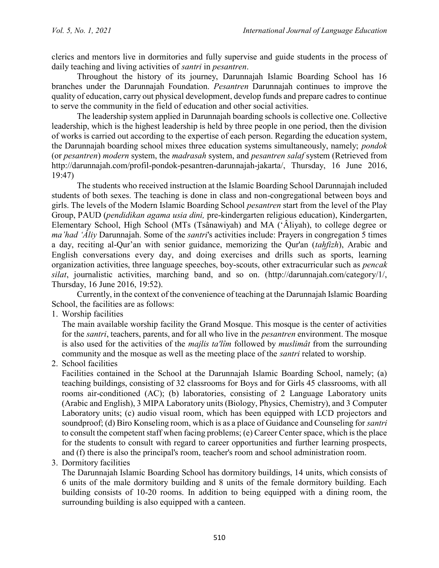clerics and mentors live in dormitories and fully supervise and guide students in the process of daily teaching and living activities of *santri* in *pesantren*.

Throughout the history of its journey, Darunnajah Islamic Boarding School has 16 branches under the Darunnajah Foundation. *Pesantren* Darunnajah continues to improve the quality of education, carry out physical development, develop funds and prepare cadres to continue to serve the community in the field of education and other social activities.

The leadership system applied in Darunnajah boarding schools is collective one. Collective leadership, which is the highest leadership is held by three people in one period, then the division of works is carried out according to the expertise of each person. Regarding the education system, the Darunnajah boarding school mixes three education systems simultaneously, namely; *pondok*  (or *pesantren*) *modern* system, the *madrasah* system, and *pesantren salaf* system (Retrieved from [http://darunnajah.com/profil-pondok-pesantren-darunnajah-jakarta/,](http://darunnajah.com/profil-pondok-pesantren-darunnajah-jakarta/) Thursday, 16 June 2016, 19:47)

The students who received instruction at the Islamic Boarding School Darunnajah included students of both sexes. The teaching is done in class and non-congregational between boys and girls. The levels of the Modern Islamic Boarding School *pesantren* start from the level of the Play Group, PAUD (*pendidikan agama usia dini,* pre-kindergarten religious education), Kindergarten, Elementary School, High School (MTs (Tsânawiyah) and MA ('Âliyah), to college degree or *ma'had 'Âliy* Darunnajah. Some of the *santri*'s activities include: Prayers in congregation 5 times a day, reciting al-Qur'an with senior guidance, memorizing the Qur'an (*tahfizh*), Arabic and English conversations every day, and doing exercises and drills such as sports, learning organization activities, three language speeches, boy-scouts, other extracurricular such as *pencak silat*, journalistic activities, marching band, and so on. [\(http://darunnajah.com/category/1/,](http://darunnajah.com/category/1/) Thursday, 16 June 2016, 19:52).

Currently, in the context of the convenience of teaching at the Darunnajah Islamic Boarding School, the facilities are as follows:

1. Worship facilities

The main available worship facility the Grand Mosque. This mosque is the center of activities for the *santri*, teachers, parents, and for all who live in the *pesantren* environment. The mosque is also used for the activities of the *majlis ta'lîm* followed by *muslimât* from the surrounding community and the mosque as well as the meeting place of the *santri* related to worship.

2. School facilities

Facilities contained in the School at the Darunnajah Islamic Boarding School, namely; (a) teaching buildings, consisting of 32 classrooms for Boys and for Girls 45 classrooms, with all rooms air-conditioned (AC); (b) laboratories, consisting of 2 Language Laboratory units (Arabic and English), 3 MIPA Laboratory units (Biology, Physics, Chemistry), and 3 Computer Laboratory units; (c) audio visual room, which has been equipped with LCD projectors and soundproof; (d) Biro Konseling room, which is as a place of Guidance and Counseling for *santri*  to consult the competent staff when facing problems; (e) Career Center space, which is the place for the students to consult with regard to career opportunities and further learning prospects, and (f) there is also the principal's room, teacher's room and school administration room.

3. Dormitory facilities

The Darunnajah Islamic Boarding School has dormitory buildings, 14 units, which consists of 6 units of the male dormitory building and 8 units of the female dormitory building. Each building consists of 10-20 rooms. In addition to being equipped with a dining room, the surrounding building is also equipped with a canteen.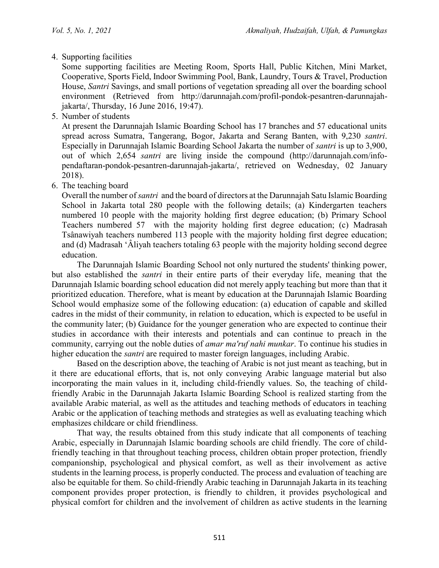4. Supporting facilities

Some supporting facilities are Meeting Room, Sports Hall, Public Kitchen, Mini Market, Cooperative, Sports Field, Indoor Swimming Pool, Bank, Laundry, Tours & Travel, Production House, *Santri* Savings, and small portions of vegetation spreading all over the boarding school environment (Retrieved from [http://darunnajah.com/profil-pondok-pesantren-darunnajah](http://darunnajah.com/profil-pondok-pesantren-darunnajah-jakarta/)[jakarta/,](http://darunnajah.com/profil-pondok-pesantren-darunnajah-jakarta/) Thursday, 16 June 2016, 19:47).

5. Number of students

At present the Darunnajah Islamic Boarding School has 17 branches and 57 educational units spread across Sumatra, Tangerang, Bogor, Jakarta and Serang Banten, with 9,230 *santri*. Especially in Darunnajah Islamic Boarding School Jakarta the number of *santri* is up to 3,900, out of which 2,654 *santri* are living inside the compound [\(http://darunnajah.com/info](http://darunnajah.com/info-pendaftaran-pondok-pesantren-darunnajah-jakarta/)[pendaftaran-pondok-pesantren-darunnajah-jakarta/,](http://darunnajah.com/info-pendaftaran-pondok-pesantren-darunnajah-jakarta/) retrieved on Wednesday, 02 January 2018).

6. The teaching board

Overall the number of *santri* and the board of directors at the Darunnajah Satu Islamic Boarding School in Jakarta total 280 people with the following details; (a) Kindergarten teachers numbered 10 people with the majority holding first degree education; (b) Primary School Teachers numbered 57 with the majority holding first degree education; (c) Madrasah Tsânawiyah teachers numbered 113 people with the majority holding first degree education; and (d) Madrasah 'Âliyah teachers totaling 63 people with the majority holding second degree education.

The Darunnajah Islamic Boarding School not only nurtured the students' thinking power, but also established the *santri* in their entire parts of their everyday life, meaning that the Darunnajah Islamic boarding school education did not merely apply teaching but more than that it prioritized education. Therefore, what is meant by education at the Darunnajah Islamic Boarding School would emphasize some of the following education: (a) education of capable and skilled cadres in the midst of their community, in relation to education, which is expected to be useful in the community later; (b) Guidance for the younger generation who are expected to continue their studies in accordance with their interests and potentials and can continue to preach in the community, carrying out the noble duties of *amar ma'ruf nahi munkar*. To continue his studies in higher education the *santri* are required to master foreign languages, including Arabic.

Based on the description above, the teaching of Arabic is not just meant as teaching, but in it there are educational efforts, that is, not only conveying Arabic language material but also incorporating the main values in it, including child-friendly values. So, the teaching of childfriendly Arabic in the Darunnajah Jakarta Islamic Boarding School is realized starting from the available Arabic material, as well as the attitudes and teaching methods of educators in teaching Arabic or the application of teaching methods and strategies as well as evaluating teaching which emphasizes childcare or child friendliness.

That way, the results obtained from this study indicate that all components of teaching Arabic, especially in Darunnajah Islamic boarding schools are child friendly. The core of childfriendly teaching in that throughout teaching process, children obtain proper protection, friendly companionship, psychological and physical comfort, as well as their involvement as active students in the learning process, is properly conducted. The process and evaluation of teaching are also be equitable for them. So child-friendly Arabic teaching in Darunnajah Jakarta in its teaching component provides proper protection, is friendly to children, it provides psychological and physical comfort for children and the involvement of children as active students in the learning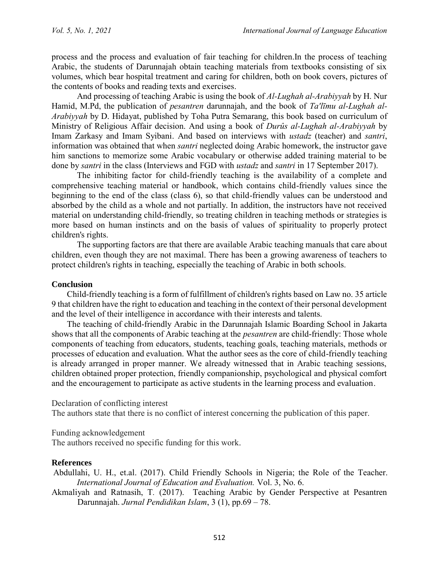process and the process and evaluation of fair teaching for children.In the process of teaching Arabic, the students of Darunnajah obtain teaching materials from textbooks consisting of six volumes, which bear hospital treatment and caring for children, both on book covers, pictures of the contents of books and reading texts and exercises.

And processing of teaching Arabic is using the book of *Al-Lughah al-Arabiyyah* by H. Nur Hamid, M.Pd, the publication of *pesantren* darunnajah, and the book of *Ta'līmu al-Lughah al-Arabiyyah* by D. Hidayat, published by Toha Putra Semarang, this book based on curriculum of Ministry of Religious Affair decision. And using a book of *Durûs al-Lughah al-Arabiyyah* by Imam Zarkasy and Imam Syibani. And based on interviews with *ustadz* (teacher) and *santri*, information was obtained that when *santri* neglected doing Arabic homework, the instructor gave him sanctions to memorize some Arabic vocabulary or otherwise added training material to be done by *santri* in the class (Interviews and FGD with *ustadz* and *santri* in 17 September 2017).

The inhibiting factor for child-friendly teaching is the availability of a complete and comprehensive teaching material or handbook, which contains child-friendly values since the beginning to the end of the class (class 6), so that child-friendly values can be understood and absorbed by the child as a whole and not partially. In addition, the instructors have not received material on understanding child-friendly, so treating children in teaching methods or strategies is more based on human instincts and on the basis of values of spirituality to properly protect children's rights.

The supporting factors are that there are available Arabic teaching manuals that care about children, even though they are not maximal. There has been a growing awareness of teachers to protect children's rights in teaching, especially the teaching of Arabic in both schools.

### **Conclusion**

Child-friendly teaching is a form of fulfillment of children's rights based on Law no. 35 article 9 that children have the right to education and teaching in the context of their personal development and the level of their intelligence in accordance with their interests and talents.

The teaching of child-friendly Arabic in the Darunnajah Islamic Boarding School in Jakarta shows that all the components of Arabic teaching at the *pesantren* are child-friendly: Those whole components of teaching from educators, students, teaching goals, teaching materials, methods or processes of education and evaluation. What the author sees as the core of child-friendly teaching is already arranged in proper manner. We already witnessed that in Arabic teaching sessions, children obtained proper protection, friendly companionship, psychological and physical comfort and the encouragement to participate as active students in the learning process and evaluation.

### Declaration of conflicting interest

The authors state that there is no conflict of interest concerning the publication of this paper.

Funding acknowledgement

The authors received no specific funding for this work.

### **References**

- Abdullahi, U. H., et.al. (2017). Child Friendly Schools in Nigeria; the Role of the Teacher. *International Journal of Education and Evaluation.* Vol. 3, No. 6.
- Akmaliyah and Ratnasih, T*.* (2017).Teaching Arabic by Gender Perspective at Pesantren Darunnajah. *Jurnal Pendidikan Islam*, 3 (1), pp.69 – 78.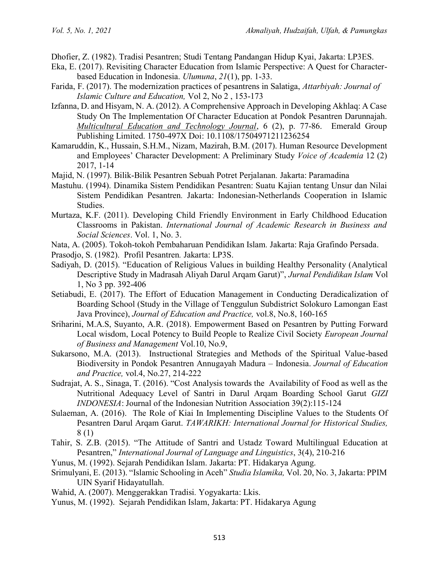Dhofier, Z. (1982). Tradisi Pesantren; Studi Tentang Pandangan Hidup Kyai, Jakarta: LP3ES.

- Eka, E. (2017). Revisiting Character Education from Islamic Perspective: A Quest for Characterbased Education in Indonesia. *Ulumuna*, *21*(1), pp. 1-33.
- Farida, F. [\(2017\).](http://attarbiyah.iainsalatiga.ac.id/index.php/attarbiyah/issue/view/155) The modernization practices of pesantrens in Salatiga, *Attarbiyah: Journal of Islamic Culture and Education,* Vol 2, No 2 , 153-173
- Izfanna, D. and Hisyam, N. A. (2012). A Comprehensive Approach in Developing Akhlaq: A Case Study On The Implementation Of Character Education at Pondok Pesantren Darunnajah. *Multicultural Education and Technology Journal*, 6 (2), p. 77-86. Emerald Group Publishing Limited. 1750-497X Doi: 10.1108/17504971211236254
- Kamaruddin, K., Hussain, S.H.M., Nizam, Mazirah, B.M. (2017). Human Resource Development and Employees' Character Development: A Preliminary Study *Voice of Academia* 12 (2) 2017, 1-14
- Majid, N. (1997). Bilik-Bilik Pesantren Sebuah Potret Perjalanan*.* Jakarta: Paramadina
- Mastuhu. (1994). Dinamika Sistem Pendidikan Pesantren: Suatu Kajian tentang Unsur dan Nilai Sistem Pendidikan Pesantren*.* Jakarta: Indonesian-Netherlands Cooperation in Islamic Studies.
- Murtaza, K.F. (2011). Developing Child Friendly Environment in Early Childhood Education Classrooms in Pakistan. *International Journal of Academic Research in Business and Social Sciences*. Vol. 1, No. 3.
- Nata, A. (2005). Tokoh-tokoh Pembaharuan Pendidikan Islam*.* Jakarta: Raja Grafindo Persada.
- Prasodjo, S. (1982). Profil Pesantren*.* Jakarta: LP3S.
- Sadiyah, D. (2015). "Education of Religious Values in building Healthy Personality (Analytical Descriptive Study in Madrasah Aliyah Darul Arqam Garut)", *Jurnal Pendidikan Islam* Vol 1, No 3 pp. 392-406
- Setiabudi, E. (2017). The Effort of Education Management in Conducting Deradicalization of Boarding School (Study in the Village of Tenggulun Subdistrict Solokuro Lamongan East Java Province), *Journal of Education and Practice,* vol.8, No.8, 160-165
- Sriharini, M.A.S, Suyanto, A.R. (2018). Empowerment Based on Pesantren by Putting Forward Local wisdom, Local Potency to Build People to Realize Civil Society *European Journal of Business and Management* Vol.10, No.9,
- Sukarsono, M.A. (2013). Instructional Strategies and Methods of the Spiritual Value-based Biodiversity in Pondok Pesantren Annugayah Madura – Indonesia. *Journal of Education and Practice,* vol.4, No.27, 214-222
- Sudrajat, A. S., Sinaga, T. (2016). "Cost Analysis towards the Availability of Food as well as the Nutritional Adequacy Level of Santri in Darul Arqam Boarding School Garut *GIZI INDONESIA*: Journal of the Indonesian Nutrition Association 39(2):115-124
- Sulaeman, A. (2016). The Role of Kiai In Implementing Discipline Values to the Students Of Pesantren Darul Arqam Garut. *TAWARIKH: International Journal for Historical Studies,* 8 (1)
- Tahir, S. Z.B. (2015). "The Attitude of Santri and Ustadz Toward Multilingual Education at Pesantren," *International Journal of Language and Linguistics*, 3(4), 210-216
- Yunus, M. (1992). Sejarah Pendidikan Islam. Jakarta: PT. Hidakarya Agung.
- Srimulyani, E. (2013). "Islamic Schooling in Aceh" *Studia Islamika,* Vol. 20, No. 3, Jakarta: PPIM UIN Syarif Hidayatullah.
- Wahid, A. (2007). Menggerakkan Tradisi*.* Yogyakarta: Lkis.
- Yunus, M. (1992). Sejarah Pendidikan Islam, Jakarta: PT. Hidakarya Agung